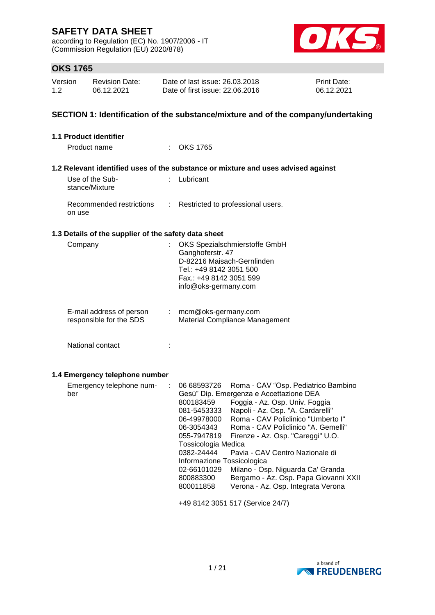according to Regulation (EC) No. 1907/2006 - IT (Commission Regulation (EU) 2020/878)



## **OKS 1765**

| Version | <b>Revision Date:</b> | Date of last issue: 26.03.2018  | <b>Print Date:</b> |
|---------|-----------------------|---------------------------------|--------------------|
| 1.2     | 06.12.2021            | Date of first issue: 22.06.2016 | 06.12.2021         |

### **SECTION 1: Identification of the substance/mixture and of the company/undertaking**

| $:$ OKS 1765                                                                                                                                                                                                                                                                                                                                                                                                                                                                                                                                                                                                                                                          |
|-----------------------------------------------------------------------------------------------------------------------------------------------------------------------------------------------------------------------------------------------------------------------------------------------------------------------------------------------------------------------------------------------------------------------------------------------------------------------------------------------------------------------------------------------------------------------------------------------------------------------------------------------------------------------|
| 1.2 Relevant identified uses of the substance or mixture and uses advised against                                                                                                                                                                                                                                                                                                                                                                                                                                                                                                                                                                                     |
| : Lubricant                                                                                                                                                                                                                                                                                                                                                                                                                                                                                                                                                                                                                                                           |
| Restricted to professional users.                                                                                                                                                                                                                                                                                                                                                                                                                                                                                                                                                                                                                                     |
| 1.3 Details of the supplier of the safety data sheet                                                                                                                                                                                                                                                                                                                                                                                                                                                                                                                                                                                                                  |
| OKS Spezialschmierstoffe GmbH<br>Ganghoferstr. 47<br>D-82216 Maisach-Gernlinden<br>Tel.: +49 8142 3051 500<br>Fax.: +49 8142 3051 599<br>info@oks-germany.com                                                                                                                                                                                                                                                                                                                                                                                                                                                                                                         |
| mcm@oks-germany.com<br>Material Compliance Management                                                                                                                                                                                                                                                                                                                                                                                                                                                                                                                                                                                                                 |
|                                                                                                                                                                                                                                                                                                                                                                                                                                                                                                                                                                                                                                                                       |
|                                                                                                                                                                                                                                                                                                                                                                                                                                                                                                                                                                                                                                                                       |
| 06 68593726<br>Roma - CAV "Osp. Pediatrico Bambino<br>Gesù" Dip. Emergenza e Accettazione DEA<br>Foggia - Az. Osp. Univ. Foggia<br>800183459<br>Napoli - Az. Osp. "A. Cardarelli"<br>081-5453333<br>Roma - CAV Policlinico "Umberto I"<br>06-49978000<br>06-3054343<br>Roma - CAV Policlinico "A. Gemelli"<br>055-7947819<br>Firenze - Az. Osp. "Careggi" U.O.<br>Tossicologia Medica<br>Pavia - CAV Centro Nazionale di<br>0382-24444<br>Informazione Tossicologica<br>Milano - Osp. Niguarda Ca' Granda<br>02-66101029<br>Bergamo - Az. Osp. Papa Giovanni XXII<br>800883300<br>Verona - Az. Osp. Integrata Verona<br>800011858<br>+49 8142 3051 517 (Service 24/7) |
|                                                                                                                                                                                                                                                                                                                                                                                                                                                                                                                                                                                                                                                                       |

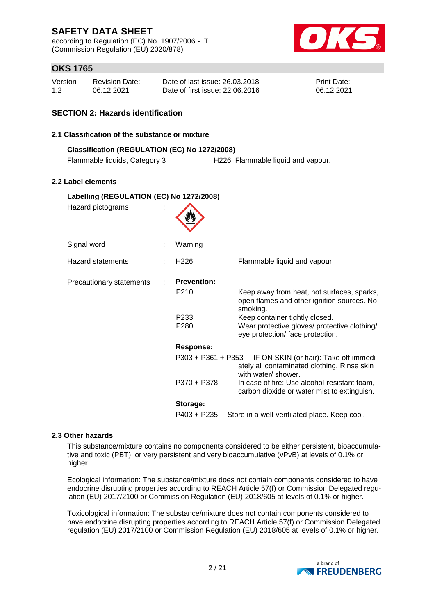according to Regulation (EC) No. 1907/2006 - IT (Commission Regulation (EU) 2020/878)



## **OKS 1765**

| Version | <b>Revision Date:</b> | Date of last issue: 26.03.2018  | <b>Print Date:</b> |
|---------|-----------------------|---------------------------------|--------------------|
| 1.2     | 06.12.2021            | Date of first issue: 22,06,2016 | 06.12.2021         |

#### **SECTION 2: Hazards identification**

#### **2.1 Classification of the substance or mixture**

| Classification (REGULATION (EC) No 1272/2008) |                                    |
|-----------------------------------------------|------------------------------------|
| Flammable liquids, Category 3                 | H226: Flammable liquid and vapour. |

#### **2.2 Label elements**

| Labelling (REGULATION (EC) No 1272/2008) |                          |                                                                                                                    |  |  |
|------------------------------------------|--------------------------|--------------------------------------------------------------------------------------------------------------------|--|--|
| Hazard pictograms                        |                          |                                                                                                                    |  |  |
| Signal word                              | Warning                  |                                                                                                                    |  |  |
| Hazard statements                        | H <sub>226</sub>         | Flammable liquid and vapour.                                                                                       |  |  |
| Precautionary statements                 | <b>Prevention:</b>       |                                                                                                                    |  |  |
|                                          | P <sub>210</sub>         | Keep away from heat, hot surfaces, sparks,<br>open flames and other ignition sources. No<br>smoking.               |  |  |
|                                          | P233<br>P <sub>280</sub> | Keep container tightly closed.<br>Wear protective gloves/ protective clothing/<br>eye protection/ face protection. |  |  |
|                                          | <b>Response:</b>         |                                                                                                                    |  |  |
|                                          | P303 + P361 + P353       | IF ON SKIN (or hair): Take off immedi-<br>ately all contaminated clothing. Rinse skin<br>with water/ shower.       |  |  |
|                                          | P370 + P378              | In case of fire: Use alcohol-resistant foam,<br>carbon dioxide or water mist to extinguish.                        |  |  |
|                                          | Storage:                 |                                                                                                                    |  |  |
|                                          | $P403 + P235$            | Store in a well-ventilated place. Keep cool.                                                                       |  |  |

#### **2.3 Other hazards**

This substance/mixture contains no components considered to be either persistent, bioaccumulative and toxic (PBT), or very persistent and very bioaccumulative (vPvB) at levels of 0.1% or higher.

Ecological information: The substance/mixture does not contain components considered to have endocrine disrupting properties according to REACH Article 57(f) or Commission Delegated regulation (EU) 2017/2100 or Commission Regulation (EU) 2018/605 at levels of 0.1% or higher.

Toxicological information: The substance/mixture does not contain components considered to have endocrine disrupting properties according to REACH Article 57(f) or Commission Delegated regulation (EU) 2017/2100 or Commission Regulation (EU) 2018/605 at levels of 0.1% or higher.

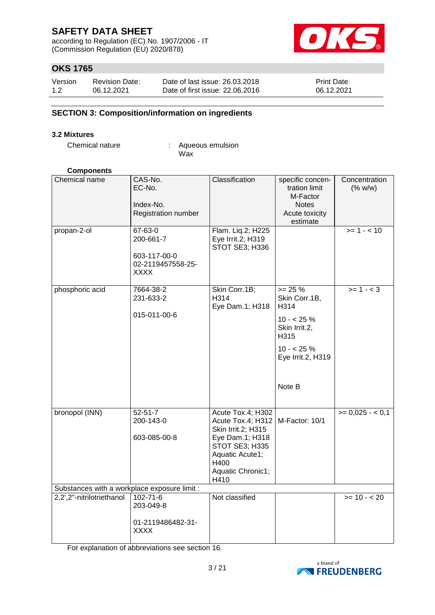according to Regulation (EC) No. 1907/2006 - IT (Commission Regulation (EU) 2020/878)



## **OKS 1765**

| Version | <b>Revision Date:</b> | Date of last issue: 26.03.2018  | <b>Print Date:</b> |
|---------|-----------------------|---------------------------------|--------------------|
| 1.2     | 06.12.2021            | Date of first issue: 22,06,2016 | 06.12.2021         |

#### **SECTION 3: Composition/information on ingredients**

#### **3.2 Mixtures**

Chemical nature : Aqueous emulsion Wax

#### **Components**

| Chemical name                                | CAS-No.<br>EC-No.<br>Index-No.<br>Registration number                    | Classification                                                                                                                                            | specific concen-<br>tration limit<br>M-Factor<br><b>Notes</b><br>Acute toxicity<br>estimate                              | Concentration<br>(% w/w) |
|----------------------------------------------|--------------------------------------------------------------------------|-----------------------------------------------------------------------------------------------------------------------------------------------------------|--------------------------------------------------------------------------------------------------------------------------|--------------------------|
| propan-2-ol                                  | 67-63-0<br>200-661-7<br>603-117-00-0<br>02-2119457558-25-<br><b>XXXX</b> | Flam. Liq.2; H225<br>Eye Irrit.2; H319<br>STOT SE3; H336                                                                                                  |                                                                                                                          | $>= 1 - 10$              |
| phosphoric acid                              | 7664-38-2<br>231-633-2<br>015-011-00-6                                   | Skin Corr.1B;<br>H314<br>Eye Dam.1; H318                                                                                                                  | $>= 25 %$<br>Skin Corr.1B,<br>H314<br>$10 - 25 \%$<br>Skin Irrit.2,<br>H315<br>$10 - 25%$<br>Eye Irrit.2, H319<br>Note B | $>= 1 - < 3$             |
| bronopol (INN)                               | $52 - 51 - 7$<br>200-143-0<br>603-085-00-8                               | Acute Tox.4; H302<br>Acute Tox.4; H312<br>Skin Irrit.2; H315<br>Eye Dam.1; H318<br>STOT SE3; H335<br>Aquatic Acute1;<br>H400<br>Aquatic Chronic1;<br>H410 | M-Factor: 10/1                                                                                                           | $= 0.025 - 0.1$          |
| Substances with a workplace exposure limit : |                                                                          |                                                                                                                                                           |                                                                                                                          |                          |
| 2,2',2"-nitrilotriethanol                    | 102-71-6<br>203-049-8                                                    | Not classified                                                                                                                                            |                                                                                                                          | $>= 10 - 20$             |
|                                              | 01-2119486482-31-<br><b>XXXX</b>                                         |                                                                                                                                                           |                                                                                                                          |                          |

For explanation of abbreviations see section 16.

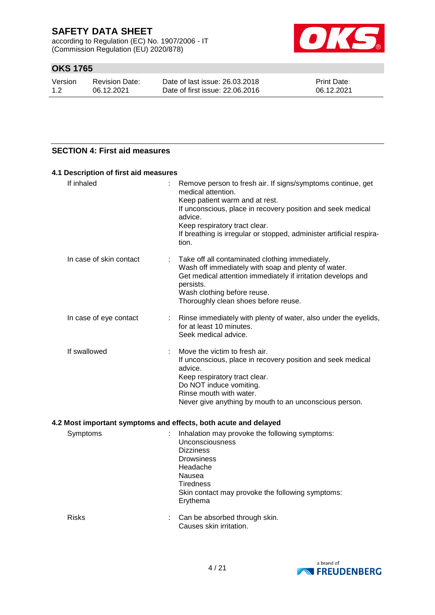according to Regulation (EC) No. 1907/2006 - IT (Commission Regulation (EU) 2020/878)



## **OKS 1765**

| Version | Revision Date: | Date of last issue: 26.03.2018  | <b>Print Date:</b> |
|---------|----------------|---------------------------------|--------------------|
| 1.2     | 06.12.2021     | Date of first issue: 22,06,2016 | 06.12.2021         |

### **SECTION 4: First aid measures**

| 4.1 Description of first aid measures |   |                                                                                                                                                                                                                                                                                                                 |
|---------------------------------------|---|-----------------------------------------------------------------------------------------------------------------------------------------------------------------------------------------------------------------------------------------------------------------------------------------------------------------|
| If inhaled                            |   | Remove person to fresh air. If signs/symptoms continue, get<br>medical attention.<br>Keep patient warm and at rest.<br>If unconscious, place in recovery position and seek medical<br>advice.<br>Keep respiratory tract clear.<br>If breathing is irregular or stopped, administer artificial respira-<br>tion. |
| In case of skin contact               |   | Take off all contaminated clothing immediately.<br>Wash off immediately with soap and plenty of water.<br>Get medical attention immediately if irritation develops and<br>persists.<br>Wash clothing before reuse.<br>Thoroughly clean shoes before reuse.                                                      |
| In case of eye contact                | ÷ | Rinse immediately with plenty of water, also under the eyelids,<br>for at least 10 minutes.<br>Seek medical advice.                                                                                                                                                                                             |
| If swallowed                          |   | Move the victim to fresh air.<br>If unconscious, place in recovery position and seek medical<br>advice.<br>Keep respiratory tract clear.<br>Do NOT induce vomiting.<br>Rinse mouth with water.<br>Never give anything by mouth to an unconscious person.                                                        |
|                                       |   | 4.2 Most important symptoms and effects, both acute and delayed                                                                                                                                                                                                                                                 |
| Symptome                              |   | $\cdot$ Inhalation may provoke the following symptoms:                                                                                                                                                                                                                                                          |

| Symptoms     | Inhalation may provoke the following symptoms:<br>Unconsciousness<br><b>Dizziness</b><br><b>Drowsiness</b><br>Headache<br>Nausea<br>Tiredness<br>Skin contact may provoke the following symptoms:<br>Erythema |
|--------------|---------------------------------------------------------------------------------------------------------------------------------------------------------------------------------------------------------------|
| <b>Risks</b> | Can be absorbed through skin.<br>Causes skin irritation.                                                                                                                                                      |

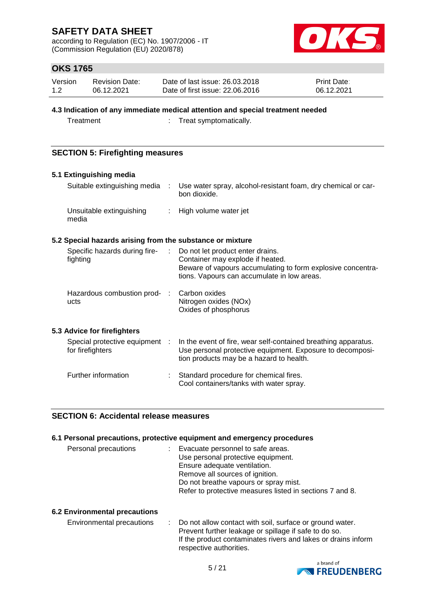according to Regulation (EC) No. 1907/2006 - IT (Commission Regulation (EU) 2020/878)



## **OKS 1765**

| Version | <b>Revision Date:</b> | Date of last issue: 26.03.2018  | <b>Print Date:</b> |
|---------|-----------------------|---------------------------------|--------------------|
| 1.2     | 06.12.2021            | Date of first issue: 22,06,2016 | 06.12.2021         |

#### **4.3 Indication of any immediate medical attention and special treatment needed**

Treatment : Treat symptomatically.

### **SECTION 5: Firefighting measures**

| 5.1 Extinguishing media                                   |                           |                                                                                                                                                                                    |
|-----------------------------------------------------------|---------------------------|------------------------------------------------------------------------------------------------------------------------------------------------------------------------------------|
| Suitable extinguishing media :                            |                           | Use water spray, alcohol-resistant foam, dry chemical or car-<br>bon dioxide.                                                                                                      |
| Unsuitable extinguishing<br>media                         | $\mathbb{R}^{\mathbb{Z}}$ | High volume water jet                                                                                                                                                              |
| 5.2 Special hazards arising from the substance or mixture |                           |                                                                                                                                                                                    |
| Specific hazards during fire-<br>fighting                 | $\mathbb{Z}^{\mathbb{Z}}$ | Do not let product enter drains.<br>Container may explode if heated.<br>Beware of vapours accumulating to form explosive concentra-<br>tions. Vapours can accumulate in low areas. |
| Hazardous combustion prod-<br>ucts                        | - 11                      | Carbon oxides<br>Nitrogen oxides (NOx)<br>Oxides of phosphorus                                                                                                                     |
| 5.3 Advice for firefighters                               |                           |                                                                                                                                                                                    |
| Special protective equipment :<br>for firefighters        |                           | In the event of fire, wear self-contained breathing apparatus.<br>Use personal protective equipment. Exposure to decomposi-<br>tion products may be a hazard to health.            |
| Further information                                       |                           | Standard procedure for chemical fires.<br>Cool containers/tanks with water spray.                                                                                                  |

#### **SECTION 6: Accidental release measures**

#### **6.1 Personal precautions, protective equipment and emergency procedures**

| Personal precautions | : Evacuate personnel to safe areas.<br>Use personal protective equipment.<br>Ensure adequate ventilation.<br>Remove all sources of ignition.<br>Do not breathe vapours or spray mist. |
|----------------------|---------------------------------------------------------------------------------------------------------------------------------------------------------------------------------------|
|                      | Refer to protective measures listed in sections 7 and 8.                                                                                                                              |

#### **6.2 Environmental precautions**

Environmental precautions : Do not allow contact with soil, surface or ground water. Prevent further leakage or spillage if safe to do so. If the product contaminates rivers and lakes or drains inform respective authorities.

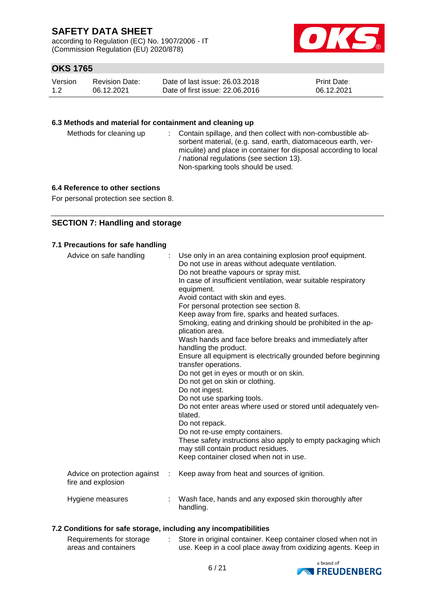according to Regulation (EC) No. 1907/2006 - IT (Commission Regulation (EU) 2020/878)



## **OKS 1765**

| Version | Revision Date: | Date of last issue: 26.03.2018  | <b>Print Date:</b> |
|---------|----------------|---------------------------------|--------------------|
| 1.2     | 06.12.2021     | Date of first issue: 22,06,2016 | 06.12.2021         |

#### **6.3 Methods and material for containment and cleaning up**

| Methods for cleaning up |  | : Contain spillage, and then collect with non-combustible ab-<br>sorbent material, (e.g. sand, earth, diatomaceous earth, ver-<br>miculite) and place in container for disposal according to local<br>/ national regulations (see section 13).<br>Non-sparking tools should be used. |
|-------------------------|--|--------------------------------------------------------------------------------------------------------------------------------------------------------------------------------------------------------------------------------------------------------------------------------------|
|-------------------------|--|--------------------------------------------------------------------------------------------------------------------------------------------------------------------------------------------------------------------------------------------------------------------------------------|

### **6.4 Reference to other sections**

For personal protection see section 8.

### **SECTION 7: Handling and storage**

### **7.1 Precautions for safe handling**

| Advice on safe handling                            |   | Use only in an area containing explosion proof equipment.<br>Do not use in areas without adequate ventilation.<br>Do not breathe vapours or spray mist.<br>In case of insufficient ventilation, wear suitable respiratory<br>equipment.<br>Avoid contact with skin and eyes.<br>For personal protection see section 8.<br>Keep away from fire, sparks and heated surfaces.<br>Smoking, eating and drinking should be prohibited in the ap-<br>plication area.<br>Wash hands and face before breaks and immediately after<br>handling the product.<br>Ensure all equipment is electrically grounded before beginning<br>transfer operations.<br>Do not get in eyes or mouth or on skin.<br>Do not get on skin or clothing.<br>Do not ingest.<br>Do not use sparking tools.<br>Do not enter areas where used or stored until adequately ven-<br>tilated.<br>Do not repack.<br>Do not re-use empty containers.<br>These safety instructions also apply to empty packaging which<br>may still contain product residues.<br>Keep container closed when not in use. |
|----------------------------------------------------|---|---------------------------------------------------------------------------------------------------------------------------------------------------------------------------------------------------------------------------------------------------------------------------------------------------------------------------------------------------------------------------------------------------------------------------------------------------------------------------------------------------------------------------------------------------------------------------------------------------------------------------------------------------------------------------------------------------------------------------------------------------------------------------------------------------------------------------------------------------------------------------------------------------------------------------------------------------------------------------------------------------------------------------------------------------------------|
| Advice on protection against<br>fire and explosion | ÷ | Keep away from heat and sources of ignition.                                                                                                                                                                                                                                                                                                                                                                                                                                                                                                                                                                                                                                                                                                                                                                                                                                                                                                                                                                                                                  |
| Hygiene measures                                   |   | Wash face, hands and any exposed skin thoroughly after<br>handling.                                                                                                                                                                                                                                                                                                                                                                                                                                                                                                                                                                                                                                                                                                                                                                                                                                                                                                                                                                                           |

#### **7.2 Conditions for safe storage, including any incompatibilities**

| Requirements for storage | Store in original container. Keep container closed when not in |
|--------------------------|----------------------------------------------------------------|
| areas and containers     | use. Keep in a cool place away from oxidizing agents. Keep in  |

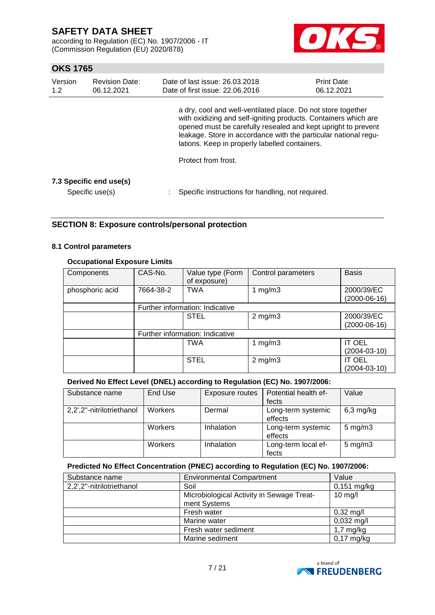according to Regulation (EC) No. 1907/2006 - IT (Commission Regulation (EU) 2020/878)



## **OKS 1765**

| Version<br>1.2 | <b>Revision Date:</b><br>06.12.2021        | Date of last issue: 26.03.2018<br>Date of first issue: 22.06.2016                                                                                                                                                                                                                                                                            | Print Date:<br>06.12.2021 |
|----------------|--------------------------------------------|----------------------------------------------------------------------------------------------------------------------------------------------------------------------------------------------------------------------------------------------------------------------------------------------------------------------------------------------|---------------------------|
|                |                                            | a dry, cool and well-ventilated place. Do not store together<br>with oxidizing and self-igniting products. Containers which are<br>opened must be carefully resealed and kept upright to prevent<br>leakage. Store in accordance with the particular national regu-<br>lations. Keep in properly labelled containers.<br>Protect from frost. |                           |
|                | 7.3 Specific end use(s)<br>Specific use(s) | Specific instructions for handling, not required.                                                                                                                                                                                                                                                                                            |                           |

### **SECTION 8: Exposure controls/personal protection**

#### **8.1 Control parameters**

#### **Occupational Exposure Limits**

| Components      | CAS-No.   | Value type (Form<br>of exposure) | Control parameters | <b>Basis</b>       |
|-----------------|-----------|----------------------------------|--------------------|--------------------|
| phosphoric acid | 7664-38-2 | <b>TWA</b>                       | 1 $mg/m3$          | 2000/39/EC         |
|                 |           |                                  |                    | $(2000-06-16)$     |
|                 |           | Further information: Indicative  |                    |                    |
|                 |           | <b>STEL</b>                      | $2$ mg/m $3$       | 2000/39/EC         |
|                 |           |                                  |                    | $(2000-06-16)$     |
|                 |           | Further information: Indicative  |                    |                    |
|                 |           | <b>TWA</b>                       | 1 mg/m $3$         | <b>IT OEL</b>      |
|                 |           |                                  |                    | $(2004 - 03 - 10)$ |
|                 |           | <b>STEL</b>                      | $2$ mg/m $3$       | <b>IT OEL</b>      |
|                 |           |                                  |                    | $(2004 - 03 - 10)$ |

#### **Derived No Effect Level (DNEL) according to Regulation (EC) No. 1907/2006:**

| Substance name            | End Use | <b>Exposure routes</b> | Potential health ef-          | Value              |
|---------------------------|---------|------------------------|-------------------------------|--------------------|
|                           |         |                        | fects                         |                    |
| 2,2',2"-nitrilotriethanol | Workers | Dermal                 | Long-term systemic<br>effects | $6,3$ mg/kg        |
|                           | Workers | Inhalation             | Long-term systemic<br>effects | $5 \text{ mg/m}$ 3 |
|                           | Workers | Inhalation             | Long-term local ef-<br>fects  | $5 \text{ mg/m}$ 3 |

#### **Predicted No Effect Concentration (PNEC) according to Regulation (EC) No. 1907/2006:**

| Substance name            | <b>Environmental Compartment</b>                          | Value               |
|---------------------------|-----------------------------------------------------------|---------------------|
| 2,2',2"-nitrilotriethanol | Soil                                                      | $0,151$ mg/kg       |
|                           | Microbiological Activity in Sewage Treat-<br>ment Systems | $10$ mg/l           |
|                           | Fresh water                                               | $0,32 \text{ mg/l}$ |
|                           | Marine water                                              | $0,032$ mg/l        |
|                           | Fresh water sediment                                      | $1,7$ mg/kg         |
|                           | Marine sediment                                           | $0,17$ mg/kg        |

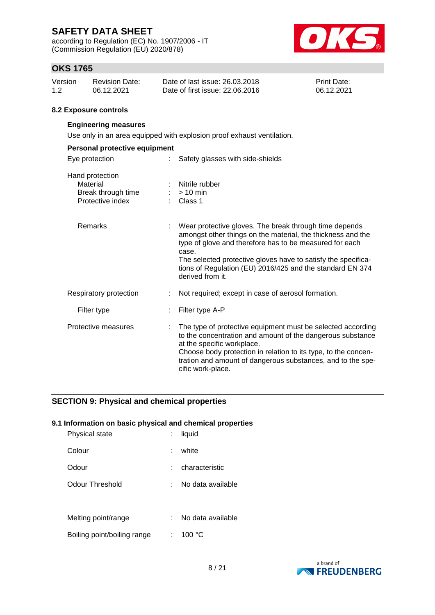according to Regulation (EC) No. 1907/2006 - IT (Commission Regulation (EU) 2020/878)



## **OKS 1765**

| Version | Revision Date: | Date of last issue: 26,03,2018  | <b>Print Date:</b> |
|---------|----------------|---------------------------------|--------------------|
| 1.2     | 06.12.2021     | Date of first issue: 22,06,2016 | 06.12.2021         |

#### **8.2 Exposure controls**

### **Engineering measures**

Use only in an area equipped with explosion proof exhaust ventilation.

| Personal protective equipment                                         |  |                                                                                                                                                                                                                                                                                                                                             |  |  |
|-----------------------------------------------------------------------|--|---------------------------------------------------------------------------------------------------------------------------------------------------------------------------------------------------------------------------------------------------------------------------------------------------------------------------------------------|--|--|
| Eye protection<br>t.                                                  |  | Safety glasses with side-shields                                                                                                                                                                                                                                                                                                            |  |  |
| Hand protection<br>Material<br>Break through time<br>Protective index |  | : Nitrile rubber<br>$:$ > 10 min<br>: Class 1                                                                                                                                                                                                                                                                                               |  |  |
| Remarks                                                               |  | Wear protective gloves. The break through time depends<br>amongst other things on the material, the thickness and the<br>type of glove and therefore has to be measured for each<br>case.<br>The selected protective gloves have to satisfy the specifica-<br>tions of Regulation (EU) 2016/425 and the standard EN 374<br>derived from it. |  |  |
| Respiratory protection                                                |  | Not required; except in case of aerosol formation.                                                                                                                                                                                                                                                                                          |  |  |
| Filter type                                                           |  | Filter type A-P                                                                                                                                                                                                                                                                                                                             |  |  |
| Protective measures                                                   |  | The type of protective equipment must be selected according<br>to the concentration and amount of the dangerous substance<br>at the specific workplace.<br>Choose body protection in relation to its type, to the concen-<br>tration and amount of dangerous substances, and to the spe-<br>cific work-place.                               |  |  |

### **SECTION 9: Physical and chemical properties**

#### **9.1 Information on basic physical and chemical properties**

| <b>Physical state</b>       | liquid            |
|-----------------------------|-------------------|
| Colour                      | white             |
| Odour                       | characteristic    |
| Odour Threshold             | No data available |
|                             |                   |
| Melting point/range         | No data available |
| Boiling point/boiling range | 100 °C            |

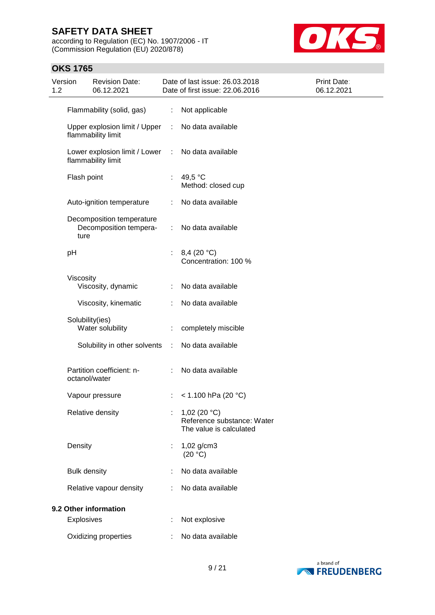according to Regulation (EC) No. 1907/2006 - IT (Commission Regulation (EU) 2020/878)



## **OKS 1765** Version 1.2 Revision Date: 06.12.2021 Date of last issue: 26.03.2018 Date of first issue: 22.06.2016 Print Date: 06.12.2021 Flammability (solid, gas) : Not applicable Upper explosion limit / Upper flammability limit : No data available Lower explosion limit / Lower : flammability limit No data available Flash point : 49,5 °C Method: closed cup Auto-ignition temperature : No data available Decomposition temperature Decomposition temperature : No data available pH : 8,4 (20 °C) Concentration: 100 % Viscosity Viscosity, dynamic : No data available Viscosity, kinematic : No data available Solubility(ies) Water solubility : completely miscible Solubility in other solvents : No data available Partition coefficient: noctanol/water : No data available Vapour pressure : < 1.100 hPa (20 °C) Relative density : 1,02 (20 °C) Reference substance: Water The value is calculated Density : 1,02 g/cm3  $(20 °C)$ Bulk density **in the case of the State State State** Sultaneously in No data available Relative vapour density : No data available **9.2 Other information** Explosives : Not explosive Oxidizing properties : No data available

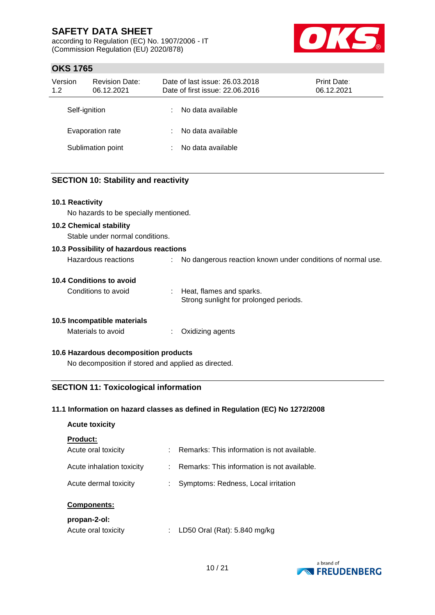according to Regulation (EC) No. 1907/2006 - IT (Commission Regulation (EU) 2020/878)



## **OKS 1765**

| Version<br>1.2 | <b>Revision Date:</b><br>06.12.2021 | Date of last issue: 26.03.2018<br>Date of first issue: 22.06.2016 | <b>Print Date:</b><br>06.12.2021 |
|----------------|-------------------------------------|-------------------------------------------------------------------|----------------------------------|
| Self-ignition  |                                     | No data available                                                 |                                  |
|                | Evaporation rate                    | No data available                                                 |                                  |
|                | Sublimation point                   | No data available                                                 |                                  |

#### **SECTION 10: Stability and reactivity**

#### **10.1 Reactivity**

No hazards to be specially mentioned.

#### **10.2 Chemical stability**

Stable under normal conditions.

| 10.3 Possibility of hazardous reactions |  |                                                             |  |  |
|-----------------------------------------|--|-------------------------------------------------------------|--|--|
| Hazardous reactions                     |  | No dangerous reaction known under conditions of normal use. |  |  |

#### **10.4 Conditions to avoid**

Conditions to avoid : Heat, flames and sparks. Strong sunlight for prolonged periods.

#### **10.5 Incompatible materials**

Materials to avoid : Oxidizing agents

#### **10.6 Hazardous decomposition products**

No decomposition if stored and applied as directed.

### **SECTION 11: Toxicological information**

#### **11.1 Information on hazard classes as defined in Regulation (EC) No 1272/2008**

# **Acute toxicity Product:**

| <b>Campanantai</b>        |                                               |
|---------------------------|-----------------------------------------------|
| Acute dermal toxicity     | : Symptoms: Redness, Local irritation         |
| Acute inhalation toxicity | : Remarks: This information is not available. |
| Acute oral toxicity       | : Remarks: This information is not available. |

#### **Components:**

#### **propan-2-ol:**

| LD50 Oral (Rat): 5.840 mg/kg |
|------------------------------|
|                              |

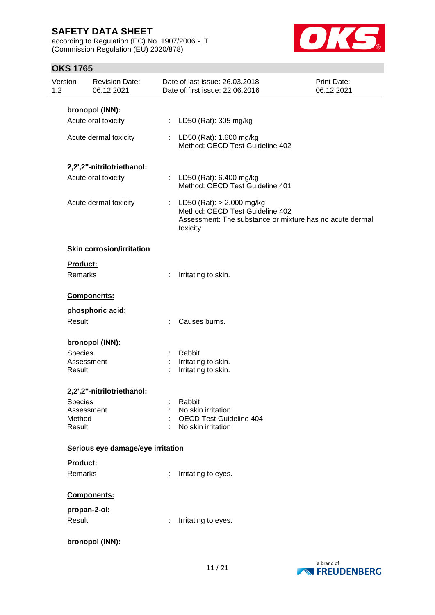according to Regulation (EC) No. 1907/2006 - IT (Commission Regulation (EU) 2020/878)



| Version<br>1.2   | <b>Revision Date:</b><br>06.12.2021 |   | Date of last issue: 26.03.2018<br>Date of first issue: 22.06.2016                                                                        | <b>Print Date:</b><br>06.12.2021 |
|------------------|-------------------------------------|---|------------------------------------------------------------------------------------------------------------------------------------------|----------------------------------|
|                  | bronopol (INN):                     |   |                                                                                                                                          |                                  |
|                  | Acute oral toxicity                 |   | : LD50 (Rat): 305 mg/kg                                                                                                                  |                                  |
|                  | Acute dermal toxicity               |   | : LD50 (Rat): 1.600 mg/kg<br>Method: OECD Test Guideline 402                                                                             |                                  |
|                  | 2,2',2"-nitrilotriethanol:          |   |                                                                                                                                          |                                  |
|                  | Acute oral toxicity                 |   | : LD50 (Rat): 6.400 mg/kg<br>Method: OECD Test Guideline 401                                                                             |                                  |
|                  | Acute dermal toxicity               |   | : LD50 (Rat): $> 2.000$ mg/kg<br>Method: OECD Test Guideline 402<br>Assessment: The substance or mixture has no acute dermal<br>toxicity |                                  |
|                  | <b>Skin corrosion/irritation</b>    |   |                                                                                                                                          |                                  |
|                  | Product:<br>Remarks                 | ÷ | Irritating to skin.                                                                                                                      |                                  |
|                  | Components:                         |   |                                                                                                                                          |                                  |
|                  | phosphoric acid:                    |   |                                                                                                                                          |                                  |
| Result           |                                     |   | : Causes burns.                                                                                                                          |                                  |
|                  | bronopol (INN):                     |   |                                                                                                                                          |                                  |
|                  | Species                             |   | Rabbit                                                                                                                                   |                                  |
| Result           | Assessment                          | ÷ | Irritating to skin.<br>Irritating to skin.                                                                                               |                                  |
|                  | 2,2',2"-nitrilotriethanol:          |   |                                                                                                                                          |                                  |
|                  | Species                             |   | Rabbit                                                                                                                                   |                                  |
|                  | Assessment                          |   | No skin irritation                                                                                                                       |                                  |
| Method<br>Result |                                     |   | <b>OECD Test Guideline 404</b><br>No skin irritation                                                                                     |                                  |
|                  | Serious eye damage/eye irritation   |   |                                                                                                                                          |                                  |
|                  | Product:                            |   |                                                                                                                                          |                                  |
|                  | Remarks                             | ÷ | Irritating to eyes.                                                                                                                      |                                  |
|                  | <b>Components:</b>                  |   |                                                                                                                                          |                                  |
|                  | propan-2-ol:                        |   |                                                                                                                                          |                                  |
| Result           |                                     |   | Irritating to eyes.                                                                                                                      |                                  |
|                  | bronopol (INN):                     |   |                                                                                                                                          |                                  |

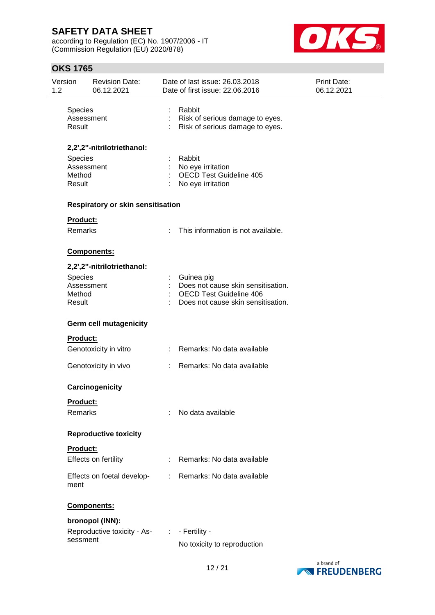according to Regulation (EC) No. 1907/2006 - IT (Commission Regulation (EU) 2020/878)



| Version<br>1.2 |                             | <b>Revision Date:</b><br>06.12.2021 |                                                                                                                                                                                                                                                                                                                                                                                                                               | Date of last issue: 26.03.2018<br>Date of first issue: 22.06.2016                                                        | <b>Print Date:</b><br>06.12.2021 |
|----------------|-----------------------------|-------------------------------------|-------------------------------------------------------------------------------------------------------------------------------------------------------------------------------------------------------------------------------------------------------------------------------------------------------------------------------------------------------------------------------------------------------------------------------|--------------------------------------------------------------------------------------------------------------------------|----------------------------------|
|                | Species<br>Result           | Assessment                          |                                                                                                                                                                                                                                                                                                                                                                                                                               | Rabbit<br>Risk of serious damage to eyes.<br>Risk of serious damage to eyes.                                             |                                  |
|                |                             | 2,2',2"-nitrilotriethanol:          |                                                                                                                                                                                                                                                                                                                                                                                                                               |                                                                                                                          |                                  |
|                | Species<br>Method<br>Result | Assessment                          |                                                                                                                                                                                                                                                                                                                                                                                                                               | Rabbit<br>No eye irritation<br><b>OECD Test Guideline 405</b><br>No eye irritation                                       |                                  |
|                |                             | Respiratory or skin sensitisation   |                                                                                                                                                                                                                                                                                                                                                                                                                               |                                                                                                                          |                                  |
|                | <b>Product:</b>             |                                     |                                                                                                                                                                                                                                                                                                                                                                                                                               |                                                                                                                          |                                  |
|                | Remarks                     |                                     |                                                                                                                                                                                                                                                                                                                                                                                                                               | This information is not available.                                                                                       |                                  |
|                |                             | Components:                         |                                                                                                                                                                                                                                                                                                                                                                                                                               |                                                                                                                          |                                  |
|                |                             | 2,2',2"-nitrilotriethanol:          |                                                                                                                                                                                                                                                                                                                                                                                                                               |                                                                                                                          |                                  |
|                | Species<br>Method<br>Result | Assessment                          |                                                                                                                                                                                                                                                                                                                                                                                                                               | Guinea pig<br>Does not cause skin sensitisation.<br><b>OECD Test Guideline 406</b><br>Does not cause skin sensitisation. |                                  |
|                |                             | Germ cell mutagenicity              |                                                                                                                                                                                                                                                                                                                                                                                                                               |                                                                                                                          |                                  |
|                | <b>Product:</b>             |                                     |                                                                                                                                                                                                                                                                                                                                                                                                                               |                                                                                                                          |                                  |
|                |                             | Genotoxicity in vitro               |                                                                                                                                                                                                                                                                                                                                                                                                                               | Remarks: No data available                                                                                               |                                  |
|                |                             | Genotoxicity in vivo                |                                                                                                                                                                                                                                                                                                                                                                                                                               | Remarks: No data available                                                                                               |                                  |
|                |                             | Carcinogenicity                     |                                                                                                                                                                                                                                                                                                                                                                                                                               |                                                                                                                          |                                  |
|                | <u>Product:</u>             |                                     |                                                                                                                                                                                                                                                                                                                                                                                                                               |                                                                                                                          |                                  |
|                | Remarks                     |                                     |                                                                                                                                                                                                                                                                                                                                                                                                                               | No data available                                                                                                        |                                  |
|                |                             | <b>Reproductive toxicity</b>        |                                                                                                                                                                                                                                                                                                                                                                                                                               |                                                                                                                          |                                  |
|                | Product:                    |                                     |                                                                                                                                                                                                                                                                                                                                                                                                                               |                                                                                                                          |                                  |
|                |                             | Effects on fertility                |                                                                                                                                                                                                                                                                                                                                                                                                                               | Remarks: No data available                                                                                               |                                  |
|                | ment                        | Effects on foetal develop-          | $\mathcal{I}^{\mathcal{I}^{\mathcal{I}^{\mathcal{I}^{\mathcal{I}^{\mathcal{I}^{\mathcal{I}^{\mathcal{I}^{\mathcal{I}^{\mathcal{I}^{\mathcal{I}^{\mathcal{I}^{\mathcal{I}^{\mathcal{I}^{\mathcal{I}^{\mathcal{I}^{\mathcal{I}^{\mathcal{I}^{\mathcal{I}^{\mathcal{I}^{\mathcal{I}^{\mathcal{I}^{\mathcal{I}^{\mathcal{I}^{\mathcal{I}^{\mathcal{I}^{\mathcal{I}^{\mathcal{I}^{\mathcal{I}^{\mathcal{I}^{\mathcal{I}^{\mathcal$ | Remarks: No data available                                                                                               |                                  |
|                |                             | Components:                         |                                                                                                                                                                                                                                                                                                                                                                                                                               |                                                                                                                          |                                  |
|                |                             | bronopol (INN):                     |                                                                                                                                                                                                                                                                                                                                                                                                                               |                                                                                                                          |                                  |
|                |                             | Reproductive toxicity - As-         | $\sim 100$ M $_{\odot}$                                                                                                                                                                                                                                                                                                                                                                                                       | - Fertility -                                                                                                            |                                  |
|                | sessment                    |                                     |                                                                                                                                                                                                                                                                                                                                                                                                                               | No toxicity to reproduction                                                                                              |                                  |

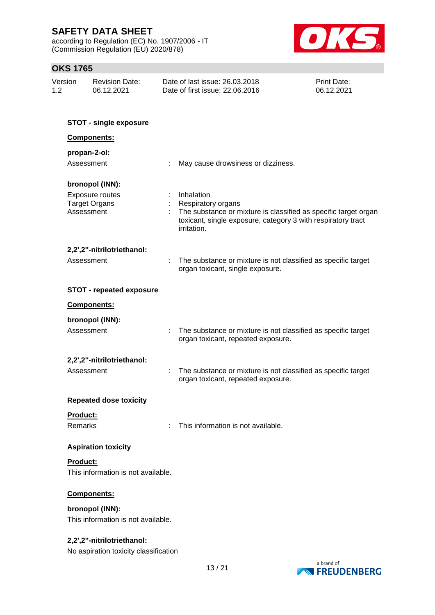according to Regulation (EC) No. 1907/2006 - IT (Commission Regulation (EU) 2020/878)



| Version | Revision Date: | Date of last issue: 26.03.2018  | <b>Print Date:</b> |
|---------|----------------|---------------------------------|--------------------|
| 1.2     | 06.12.2021     | Date of first issue: 22.06.2016 | 06.12.2021         |

| <b>STOT - single exposure</b>                                |                                                                                                                                                                                    |  |  |
|--------------------------------------------------------------|------------------------------------------------------------------------------------------------------------------------------------------------------------------------------------|--|--|
| <b>Components:</b>                                           |                                                                                                                                                                                    |  |  |
| propan-2-ol:                                                 |                                                                                                                                                                                    |  |  |
| Assessment<br>÷                                              | May cause drowsiness or dizziness.                                                                                                                                                 |  |  |
| bronopol (INN):                                              |                                                                                                                                                                                    |  |  |
| <b>Exposure routes</b><br><b>Target Organs</b><br>Assessment | Inhalation<br>Respiratory organs<br>The substance or mixture is classified as specific target organ<br>toxicant, single exposure, category 3 with respiratory tract<br>irritation. |  |  |
| 2,2',2"-nitrilotriethanol:                                   |                                                                                                                                                                                    |  |  |
| Assessment                                                   | The substance or mixture is not classified as specific target<br>organ toxicant, single exposure.                                                                                  |  |  |
| <b>STOT - repeated exposure</b>                              |                                                                                                                                                                                    |  |  |
| <b>Components:</b>                                           |                                                                                                                                                                                    |  |  |
| bronopol (INN):                                              |                                                                                                                                                                                    |  |  |
| Assessment<br>$\pm$                                          | The substance or mixture is not classified as specific target<br>organ toxicant, repeated exposure.                                                                                |  |  |
| 2,2',2"-nitrilotriethanol:                                   |                                                                                                                                                                                    |  |  |
| Assessment                                                   | The substance or mixture is not classified as specific target<br>organ toxicant, repeated exposure.                                                                                |  |  |
| <b>Repeated dose toxicity</b>                                |                                                                                                                                                                                    |  |  |
| Product:                                                     |                                                                                                                                                                                    |  |  |
| Remarks                                                      | This information is not available.                                                                                                                                                 |  |  |
| <b>Aspiration toxicity</b>                                   |                                                                                                                                                                                    |  |  |
| Product:                                                     |                                                                                                                                                                                    |  |  |
| This information is not available.                           |                                                                                                                                                                                    |  |  |
| Components:                                                  |                                                                                                                                                                                    |  |  |
| bronopol (INN):                                              |                                                                                                                                                                                    |  |  |
| This information is not available.                           |                                                                                                                                                                                    |  |  |
| 2,2',2"-nitrilotriethanol:                                   |                                                                                                                                                                                    |  |  |
| No aspiration toxicity classification                        |                                                                                                                                                                                    |  |  |

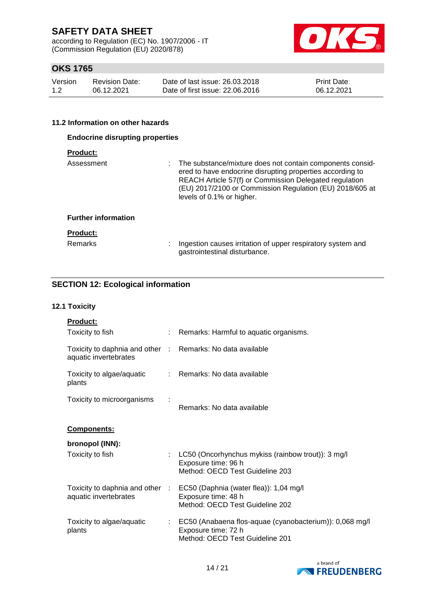according to Regulation (EC) No. 1907/2006 - IT (Commission Regulation (EU) 2020/878)



## **OKS 1765**

| Version | <b>Revision Date:</b> | Date of last issue: 26.03.2018  | <b>Print Date:</b> |
|---------|-----------------------|---------------------------------|--------------------|
| 1.2     | 06.12.2021            | Date of first issue: 22,06,2016 | 06.12.2021         |

#### **11.2 Information on other hazards**

| <b>Endocrine disrupting properties</b> |                                                                                                                                                                                                                                                                           |  |  |  |
|----------------------------------------|---------------------------------------------------------------------------------------------------------------------------------------------------------------------------------------------------------------------------------------------------------------------------|--|--|--|
| <b>Product:</b>                        |                                                                                                                                                                                                                                                                           |  |  |  |
| Assessment                             | The substance/mixture does not contain components consid-<br>ered to have endocrine disrupting properties according to<br>REACH Article 57(f) or Commission Delegated regulation<br>(EU) 2017/2100 or Commission Regulation (EU) 2018/605 at<br>levels of 0.1% or higher. |  |  |  |
| <b>Further information</b>             |                                                                                                                                                                                                                                                                           |  |  |  |
| <b>Product:</b><br>Remarks<br>٠        | Ingestion causes irritation of upper respiratory system and<br>gastrointestinal disturbance.                                                                                                                                                                              |  |  |  |

### **SECTION 12: Ecological information**

#### **12.1 Toxicity**

| <b>Product:</b>                                          |      |                                                                                                                   |
|----------------------------------------------------------|------|-------------------------------------------------------------------------------------------------------------------|
| Toxicity to fish                                         |      | Remarks: Harmful to aquatic organisms.                                                                            |
| Toxicity to daphnia and other :<br>aquatic invertebrates |      | Remarks: No data available                                                                                        |
| Toxicity to algae/aquatic<br>plants                      |      | : Remarks: No data available                                                                                      |
| Toxicity to microorganisms                               |      | Remarks: No data available                                                                                        |
| <u>Components:</u>                                       |      |                                                                                                                   |
| bronopol (INN):                                          |      |                                                                                                                   |
| Toxicity to fish                                         | ÷.   | LC50 (Oncorhynchus mykiss (rainbow trout)): 3 mg/l<br>Exposure time: 96 h<br>Method: OECD Test Guideline 203      |
| Toxicity to daphnia and other<br>aquatic invertebrates   | - 11 | EC50 (Daphnia (water flea)): 1,04 mg/l<br>Exposure time: 48 h<br>Method: OECD Test Guideline 202                  |
| Toxicity to algae/aquatic<br>plants                      |      | EC50 (Anabaena flos-aquae (cyanobacterium)): 0,068 mg/l<br>Exposure time: 72 h<br>Method: OECD Test Guideline 201 |

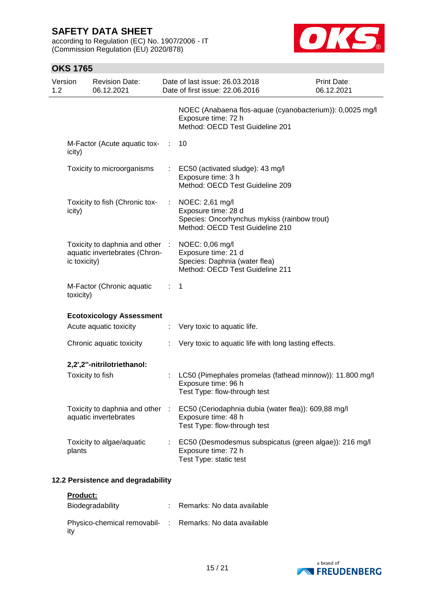according to Regulation (EC) No. 1907/2006 - IT (Commission Regulation (EU) 2020/878)



| Version<br>1.2 | <b>Revision Date:</b><br>06.12.2021                              |      | Date of last issue: 26.03.2018<br>Date of first issue: 22.06.2016                                                         | <b>Print Date:</b><br>06.12.2021 |
|----------------|------------------------------------------------------------------|------|---------------------------------------------------------------------------------------------------------------------------|----------------------------------|
|                |                                                                  |      | NOEC (Anabaena flos-aquae (cyanobacterium)): 0,0025 mg/l<br>Exposure time: 72 h<br>Method: OECD Test Guideline 201        |                                  |
| icity)         | M-Factor (Acute aquatic tox-                                     | - 10 | 10                                                                                                                        |                                  |
|                | Toxicity to microorganisms                                       |      | EC50 (activated sludge): 43 mg/l<br>Exposure time: 3 h<br>Method: OECD Test Guideline 209                                 |                                  |
| icity)         | Toxicity to fish (Chronic tox-                                   | ÷.   | NOEC: 2,61 mg/l<br>Exposure time: 28 d<br>Species: Oncorhynchus mykiss (rainbow trout)<br>Method: OECD Test Guideline 210 |                                  |
| ic toxicity)   | Toxicity to daphnia and other :<br>aquatic invertebrates (Chron- |      | NOEC: 0,06 mg/l<br>Exposure time: 21 d<br>Species: Daphnia (water flea)<br>Method: OECD Test Guideline 211                |                                  |
| toxicity)      | M-Factor (Chronic aquatic                                        | t.   | -1                                                                                                                        |                                  |
|                | <b>Ecotoxicology Assessment</b>                                  |      |                                                                                                                           |                                  |
|                | Acute aquatic toxicity                                           | ÷.   | Very toxic to aquatic life.                                                                                               |                                  |
|                | Chronic aquatic toxicity                                         | ÷    | Very toxic to aquatic life with long lasting effects.                                                                     |                                  |
|                | 2,2',2"-nitrilotriethanol:                                       |      |                                                                                                                           |                                  |
|                | Toxicity to fish                                                 |      | LC50 (Pimephales promelas (fathead minnow)): 11.800 mg/l<br>Exposure time: 96 h<br>Test Type: flow-through test           |                                  |
|                | Toxicity to daphnia and other<br>aquatic invertebrates           | - 11 | EC50 (Ceriodaphnia dubia (water flea)): 609,88 mg/l<br>Exposure time: 48 h<br>Test Type: flow-through test                |                                  |
| plants         | Toxicity to algae/aquatic                                        |      | EC50 (Desmodesmus subspicatus (green algae)): 216 mg/l<br>Exposure time: 72 h<br>Test Type: static test                   |                                  |
|                | 12.2 Persistence and degradability                               |      |                                                                                                                           |                                  |
| Product:       |                                                                  |      |                                                                                                                           |                                  |

| Biodegradability                                                | Remarks: No data available |
|-----------------------------------------------------------------|----------------------------|
| Physico-chemical removabil- : Remarks: No data available<br>itv |                            |

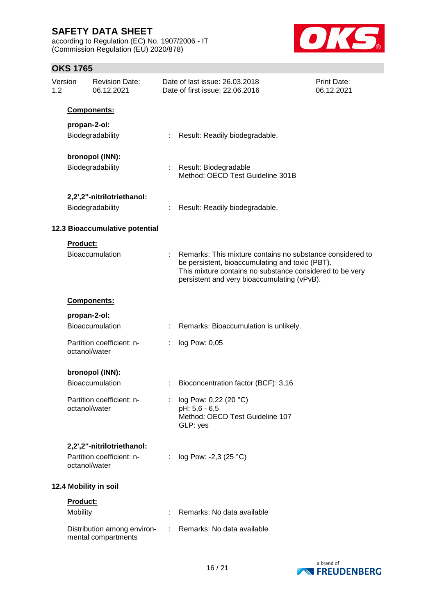according to Regulation (EC) No. 1907/2006 - IT (Commission Regulation (EU) 2020/878)



| Version<br>1.2 |                      | <b>Revision Date:</b><br>06.12.2021                                      |    | Date of last issue: 26.03.2018<br>Date of first issue: 22.06.2016                                                                                                                                                       | Print Date:<br>06.12.2021 |
|----------------|----------------------|--------------------------------------------------------------------------|----|-------------------------------------------------------------------------------------------------------------------------------------------------------------------------------------------------------------------------|---------------------------|
|                |                      | Components:                                                              |    |                                                                                                                                                                                                                         |                           |
|                |                      | propan-2-ol:<br>Biodegradability                                         |    | Result: Readily biodegradable.                                                                                                                                                                                          |                           |
|                |                      | bronopol (INN):<br>Biodegradability                                      |    | : Result: Biodegradable<br>Method: OECD Test Guideline 301B                                                                                                                                                             |                           |
|                |                      | 2,2',2"-nitrilotriethanol:<br>Biodegradability                           |    | Result: Readily biodegradable.                                                                                                                                                                                          |                           |
|                |                      | 12.3 Bioaccumulative potential                                           |    |                                                                                                                                                                                                                         |                           |
|                | <b>Product:</b>      | Bioaccumulation                                                          |    | Remarks: This mixture contains no substance considered to<br>be persistent, bioaccumulating and toxic (PBT).<br>This mixture contains no substance considered to be very<br>persistent and very bioaccumulating (vPvB). |                           |
|                |                      | Components:                                                              |    |                                                                                                                                                                                                                         |                           |
|                |                      | propan-2-ol:<br>Bioaccumulation                                          |    | Remarks: Bioaccumulation is unlikely.                                                                                                                                                                                   |                           |
|                |                      | Partition coefficient: n-<br>octanol/water                               |    | log Pow: 0,05                                                                                                                                                                                                           |                           |
|                |                      | bronopol (INN):<br>Bioaccumulation                                       |    | Bioconcentration factor (BCF): 3,16                                                                                                                                                                                     |                           |
|                |                      | Partition coefficient: n-<br>octanol/water                               |    | log Pow: 0,22 (20 °C)<br>pH: 5,6 - 6,5<br>Method: OECD Test Guideline 107<br>GLP: yes                                                                                                                                   |                           |
|                |                      | 2,2',2"-nitrilotriethanol:<br>Partition coefficient: n-<br>octanol/water | ÷  | log Pow: -2,3 (25 °C)                                                                                                                                                                                                   |                           |
|                |                      | 12.4 Mobility in soil                                                    |    |                                                                                                                                                                                                                         |                           |
|                | Product:<br>Mobility |                                                                          |    | Remarks: No data available                                                                                                                                                                                              |                           |
|                |                      | Distribution among environ-<br>mental compartments                       | ÷. | Remarks: No data available                                                                                                                                                                                              |                           |

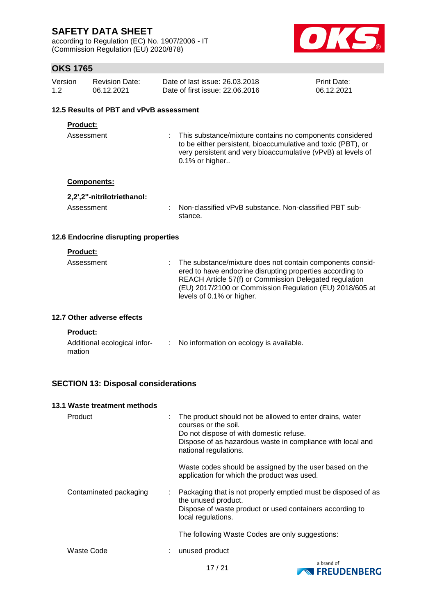according to Regulation (EC) No. 1907/2006 - IT (Commission Regulation (EU) 2020/878)



## **OKS 1765**

| Version | Revision Date: | Date of last issue: 26.03.2018  | <b>Print Date:</b> |
|---------|----------------|---------------------------------|--------------------|
| 1.2     | 06.12.2021     | Date of first issue: 22,06,2016 | 06.12.2021         |

### **12.5 Results of PBT and vPvB assessment**

### **Product:**

Assessment : This substance/mixture contains no components considered to be either persistent, bioaccumulative and toxic (PBT), or very persistent and very bioaccumulative (vPvB) at levels of 0.1% or higher..

#### **Components:**

| 2,2',2"-nitrilotriethanol: |                                                                   |
|----------------------------|-------------------------------------------------------------------|
| Assessment                 | Non-classified vPvB substance. Non-classified PBT sub-<br>stance. |

#### **12.6 Endocrine disrupting properties**

#### **Product:**

| Assessment | : The substance/mixture does not contain components consid-<br>ered to have endocrine disrupting properties according to<br>REACH Article 57(f) or Commission Delegated regulation<br>(EU) 2017/2100 or Commission Regulation (EU) 2018/605 at<br>levels of 0.1% or higher. |
|------------|-----------------------------------------------------------------------------------------------------------------------------------------------------------------------------------------------------------------------------------------------------------------------------|
|            |                                                                                                                                                                                                                                                                             |

### **12.7 Other adverse effects**

#### **Product:**

| Additional ecological infor- | No information on ecology is available. |
|------------------------------|-----------------------------------------|
| mation                       |                                         |

### **SECTION 13: Disposal considerations**

| 13.1 Waste treatment methods |                           |                                                                                                                                                                                                                    |
|------------------------------|---------------------------|--------------------------------------------------------------------------------------------------------------------------------------------------------------------------------------------------------------------|
| Product                      | ÷                         | The product should not be allowed to enter drains, water<br>courses or the soil.<br>Do not dispose of with domestic refuse.<br>Dispose of as hazardous waste in compliance with local and<br>national regulations. |
|                              |                           | Waste codes should be assigned by the user based on the<br>application for which the product was used.                                                                                                             |
| Contaminated packaging       | $\mathbb{Z}^{\mathbb{Z}}$ | Packaging that is not properly emptied must be disposed of as<br>the unused product.<br>Dispose of waste product or used containers according to<br>local regulations.                                             |
|                              |                           | The following Waste Codes are only suggestions:                                                                                                                                                                    |
| Waste Code                   |                           | unused product                                                                                                                                                                                                     |

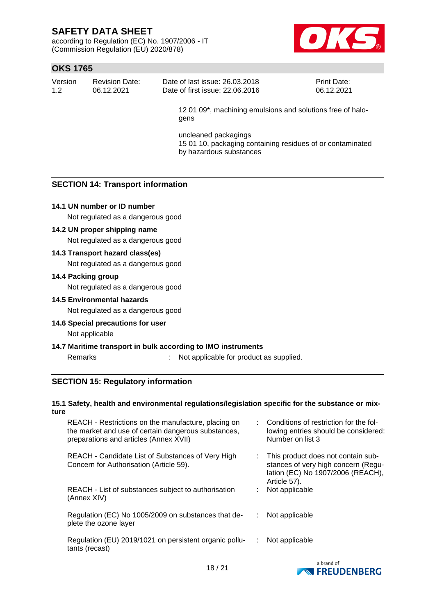according to Regulation (EC) No. 1907/2006 - IT (Commission Regulation (EU) 2020/878)



## **OKS 1765**

| Version | <b>Revision Date:</b> | Date of last issue: 26,03,2018  | <b>Print Date:</b> |
|---------|-----------------------|---------------------------------|--------------------|
| 1.2     | 06.12.2021            | Date of first issue: 22,06,2016 | 06.12.2021         |

12 01 09\*, machining emulsions and solutions free of halogens

uncleaned packagings 15 01 10, packaging containing residues of or contaminated by hazardous substances

### **SECTION 14: Transport information**

#### **14.1 UN number or ID number**

Not regulated as a dangerous good

#### **14.2 UN proper shipping name**

Not regulated as a dangerous good

#### **14.3 Transport hazard class(es)**

Not regulated as a dangerous good

#### **14.4 Packing group**

Not regulated as a dangerous good

#### **14.5 Environmental hazards**

Not regulated as a dangerous good

**14.6 Special precautions for user** Not applicable

#### **14.7 Maritime transport in bulk according to IMO instruments**

Remarks : Not applicable for product as supplied.

#### **SECTION 15: Regulatory information**

#### **15.1 Safety, health and environmental regulations/legislation specific for the substance or mixture**

| REACH - Restrictions on the manufacture, placing on<br>the market and use of certain dangerous substances,<br>preparations and articles (Annex XVII) |    | : Conditions of restriction for the fol-<br>lowing entries should be considered:<br>Number on list 3                           |
|------------------------------------------------------------------------------------------------------------------------------------------------------|----|--------------------------------------------------------------------------------------------------------------------------------|
| REACH - Candidate List of Substances of Very High<br>Concern for Authorisation (Article 59).                                                         | ÷. | This product does not contain sub-<br>stances of very high concern (Regu-<br>lation (EC) No 1907/2006 (REACH),<br>Article 57). |
| REACH - List of substances subject to authorisation<br>(Annex XIV)                                                                                   |    | Not applicable                                                                                                                 |
| Regulation (EC) No 1005/2009 on substances that de-<br>plete the ozone layer                                                                         |    | Not applicable                                                                                                                 |
| Regulation (EU) 2019/1021 on persistent organic pollu-<br>tants (recast)                                                                             | ÷. | Not applicable                                                                                                                 |
|                                                                                                                                                      |    |                                                                                                                                |

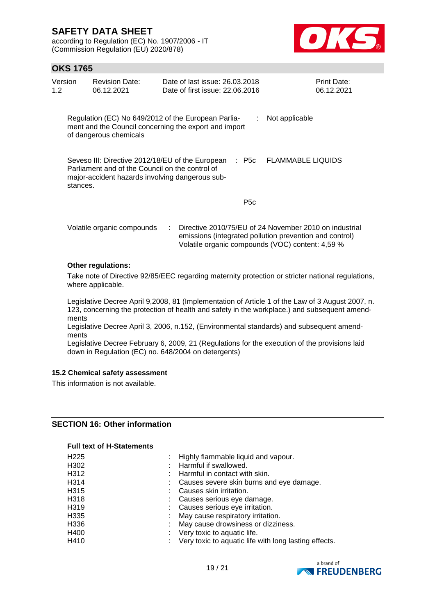according to Regulation (EC) No. 1907/2006 - IT (Commission Regulation (EU) 2020/878)



## **OKS 1765**

| Version<br>1.2 | <b>Revision Date:</b><br>06.12.2021                                                                | Date of last issue: 26.03.2018<br>Date of first issue: 22.06.2016                                                 | Print Date:<br>06.12.2021                                                                                         |
|----------------|----------------------------------------------------------------------------------------------------|-------------------------------------------------------------------------------------------------------------------|-------------------------------------------------------------------------------------------------------------------|
|                | of dangerous chemicals                                                                             | Regulation (EC) No 649/2012 of the European Parlia-<br>÷<br>ment and the Council concerning the export and import | Not applicable                                                                                                    |
| stances.       | Parliament and of the Council on the control of<br>major-accident hazards involving dangerous sub- | : P5c<br>Seveso III: Directive 2012/18/EU of the European                                                         | <b>FLAMMABLE LIQUIDS</b>                                                                                          |
|                |                                                                                                    | P <sub>5</sub> c                                                                                                  |                                                                                                                   |
|                | Volatile organic compounds                                                                         | Volatile organic compounds (VOC) content: 4,59 %                                                                  | Directive 2010/75/EU of 24 November 2010 on industrial<br>emissions (integrated pollution prevention and control) |
|                | Other regulations:                                                                                 |                                                                                                                   |                                                                                                                   |

Take note of Directive 92/85/EEC regarding maternity protection or stricter national regulations, where applicable.

Legislative Decree April 9,2008, 81 (Implementation of Article 1 of the Law of 3 August 2007, n. 123, concerning the protection of health and safety in the workplace.) and subsequent amendments

Legislative Decree April 3, 2006, n.152, (Environmental standards) and subsequent amendments

Legislative Decree February 6, 2009, 21 (Regulations for the execution of the provisions laid down in Regulation (EC) no. 648/2004 on detergents)

#### **15.2 Chemical safety assessment**

This information is not available.

### **SECTION 16: Other information**

#### **Full text of H-Statements**

| H <sub>225</sub> | : Highly flammable liquid and vapour.                 |
|------------------|-------------------------------------------------------|
| H302             | Harmful if swallowed.                                 |
| H312             | : Harmful in contact with skin.                       |
| H314             | Causes severe skin burns and eye damage.              |
| H315             | Causes skin irritation.                               |
| H318             | Causes serious eye damage.                            |
| H319             | : Causes serious eye irritation.                      |
| H335             | : May cause respiratory irritation.                   |
| H336             | May cause drowsiness or dizziness.                    |
| H400             | $\therefore$ Very toxic to aquatic life.              |
| H410             | Very toxic to aquatic life with long lasting effects. |

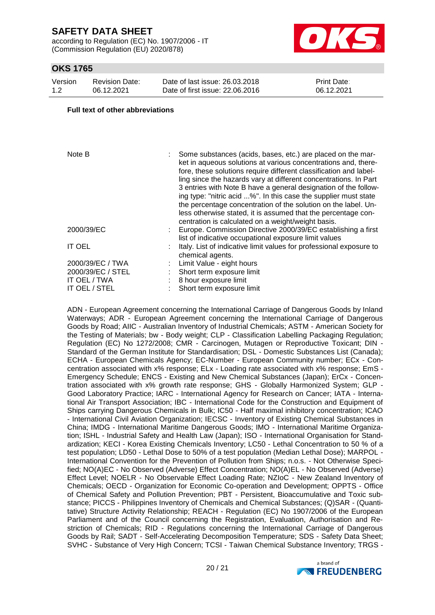according to Regulation (EC) No. 1907/2006 - IT (Commission Regulation (EU) 2020/878)



### **OKS 1765**

| Version | <b>Revision Date:</b> | Date of last issue: 26,03,2018  | <b>Print Date:</b> |
|---------|-----------------------|---------------------------------|--------------------|
| 1.2     | 06.12.2021            | Date of first issue: 22,06,2016 | 06.12.2021         |

#### **Full text of other abbreviations**

| Note B            | Some substances (acids, bases, etc.) are placed on the mar-<br>ket in aqueous solutions at various concentrations and, there-<br>fore, these solutions require different classification and label-<br>ling since the hazards vary at different concentrations. In Part<br>3 entries with Note B have a general designation of the follow-<br>ing type: "nitric acid %". In this case the supplier must state<br>the percentage concentration of the solution on the label. Un-<br>less otherwise stated, it is assumed that the percentage con-<br>centration is calculated on a weight/weight basis. |
|-------------------|-------------------------------------------------------------------------------------------------------------------------------------------------------------------------------------------------------------------------------------------------------------------------------------------------------------------------------------------------------------------------------------------------------------------------------------------------------------------------------------------------------------------------------------------------------------------------------------------------------|
| 2000/39/EC        | Europe. Commission Directive 2000/39/EC establishing a first<br>list of indicative occupational exposure limit values                                                                                                                                                                                                                                                                                                                                                                                                                                                                                 |
| IT OEL            | Italy. List of indicative limit values for professional exposure to<br>chemical agents.                                                                                                                                                                                                                                                                                                                                                                                                                                                                                                               |
| 2000/39/EC / TWA  | Limit Value - eight hours                                                                                                                                                                                                                                                                                                                                                                                                                                                                                                                                                                             |
| 2000/39/EC / STEL | Short term exposure limit                                                                                                                                                                                                                                                                                                                                                                                                                                                                                                                                                                             |
| IT OEL / TWA      | 8 hour exposure limit                                                                                                                                                                                                                                                                                                                                                                                                                                                                                                                                                                                 |
| IT OEL / STEL     | Short term exposure limit                                                                                                                                                                                                                                                                                                                                                                                                                                                                                                                                                                             |

ADN - European Agreement concerning the International Carriage of Dangerous Goods by Inland Waterways; ADR - European Agreement concerning the International Carriage of Dangerous Goods by Road; AIIC - Australian Inventory of Industrial Chemicals; ASTM - American Society for the Testing of Materials; bw - Body weight; CLP - Classification Labelling Packaging Regulation; Regulation (EC) No 1272/2008; CMR - Carcinogen, Mutagen or Reproductive Toxicant; DIN - Standard of the German Institute for Standardisation; DSL - Domestic Substances List (Canada); ECHA - European Chemicals Agency; EC-Number - European Community number; ECx - Concentration associated with x% response; ELx - Loading rate associated with x% response; EmS - Emergency Schedule; ENCS - Existing and New Chemical Substances (Japan); ErCx - Concentration associated with x% growth rate response; GHS - Globally Harmonized System; GLP - Good Laboratory Practice; IARC - International Agency for Research on Cancer; IATA - International Air Transport Association; IBC - International Code for the Construction and Equipment of Ships carrying Dangerous Chemicals in Bulk; IC50 - Half maximal inhibitory concentration; ICAO - International Civil Aviation Organization; IECSC - Inventory of Existing Chemical Substances in China; IMDG - International Maritime Dangerous Goods; IMO - International Maritime Organization; ISHL - Industrial Safety and Health Law (Japan); ISO - International Organisation for Standardization; KECI - Korea Existing Chemicals Inventory; LC50 - Lethal Concentration to 50 % of a test population; LD50 - Lethal Dose to 50% of a test population (Median Lethal Dose); MARPOL - International Convention for the Prevention of Pollution from Ships; n.o.s. - Not Otherwise Specified; NO(A)EC - No Observed (Adverse) Effect Concentration; NO(A)EL - No Observed (Adverse) Effect Level; NOELR - No Observable Effect Loading Rate; NZIoC - New Zealand Inventory of Chemicals; OECD - Organization for Economic Co-operation and Development; OPPTS - Office of Chemical Safety and Pollution Prevention; PBT - Persistent, Bioaccumulative and Toxic substance; PICCS - Philippines Inventory of Chemicals and Chemical Substances; (Q)SAR - (Quantitative) Structure Activity Relationship; REACH - Regulation (EC) No 1907/2006 of the European Parliament and of the Council concerning the Registration, Evaluation, Authorisation and Restriction of Chemicals; RID - Regulations concerning the International Carriage of Dangerous Goods by Rail; SADT - Self-Accelerating Decomposition Temperature; SDS - Safety Data Sheet; SVHC - Substance of Very High Concern; TCSI - Taiwan Chemical Substance Inventory; TRGS -